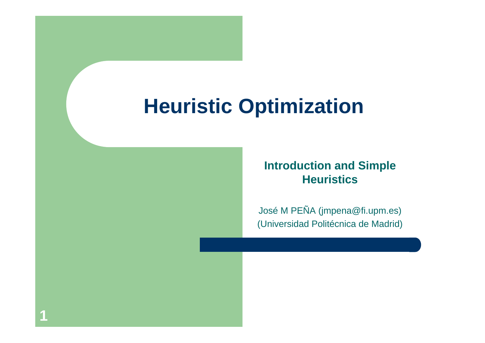#### **Heuristic Optimization**

#### **Introduction and Simple Heuristics**

José M PEÑA (jmpena@fi.upm.es) (Universidad Politécnica de Madrid)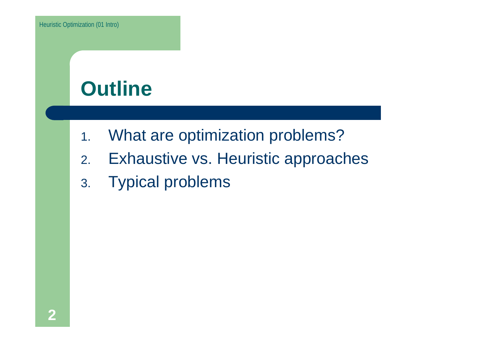#### **Outline**

- 1.What are optimization problems?
- 2.Exhaustive vs. Heuristic approaches
- 3. Typical problems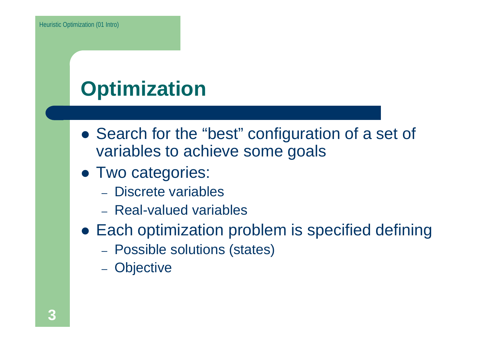# **Optimization**

- Search for the "best" configuration of a set of variables to achieve some goals
- Two categories:
	- Discrete variables
	- Real-valued variables
- Each optimization problem is specified defining
	- Possible solutions (states)
	- Objective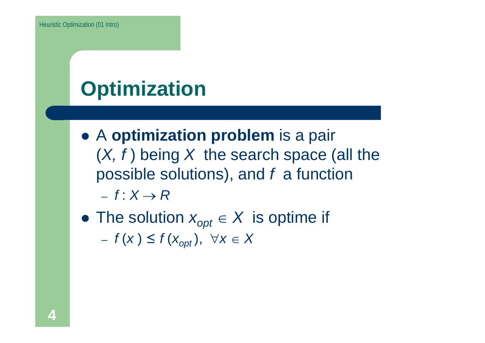# **Optimization**

- z A **optimization problem** is a pair (*X, f* ) being *X* the search space (all the possible solutions), and *f* a function – *f* : *X* <sup>→</sup> *R*
- $\bullet$  The solution  $x_{opt} \in X$  is optime if *<sup>f</sup>*(*x* ) <sup>≤</sup> *<sup>f</sup>*(*xopt* ), ∀*<sup>x</sup>* <sup>∈</sup> *<sup>X</sup>*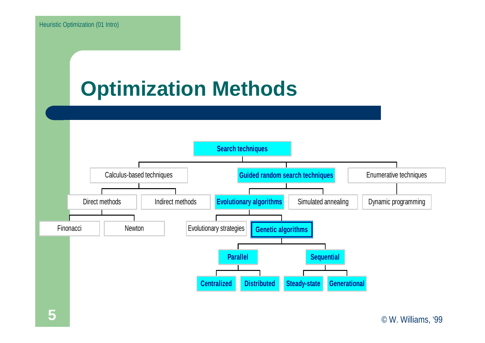#### **Optimization Methods**



#### © W. Williams, '99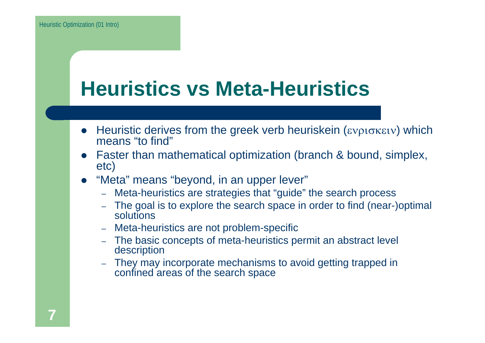#### **Heuristics vs Meta-Heuristics**

- Heuristic derives from the greek verb heuriskein (ενρισκειν) which means "to find"
- Faster than mathematical optimization (branch & bound, simplex, etc)
- "Meta" means "beyond, in an upper lever"
	- –Meta-heuristics are strategies that "guide" the search process
	- – The goal is to explore the search space in order to find (near-)optimal solutions
	- –Meta-heuristics are not problem-specific
	- The basic concepts of meta-heuristics permit an abstract level description
	- They may incorporate mechanisms to avoid getting trapped in confined areas of the search space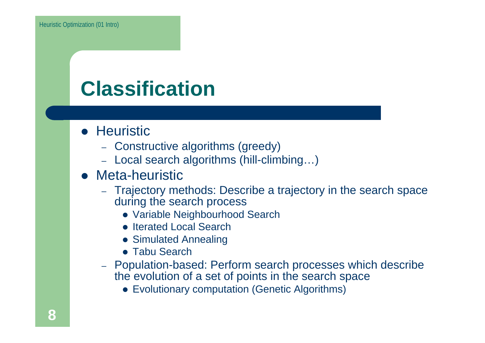## **Classification**

- **Heuristic** 
	- Constructive algorithms (greedy)
	- Local search algorithms (hill-climbing…)
- Meta-heuristic
	- Trajectory methods: Describe a trajectory in the search space during the search process
		- Variable Neighbourhood Search
		- Iterated Local Search
		- Simulated Annealing
		- **Tabu Search**
	- Population-based: Perform search processes which describe the evolution of a set of points in the search space
		- Evolutionary computation (Genetic Algorithms)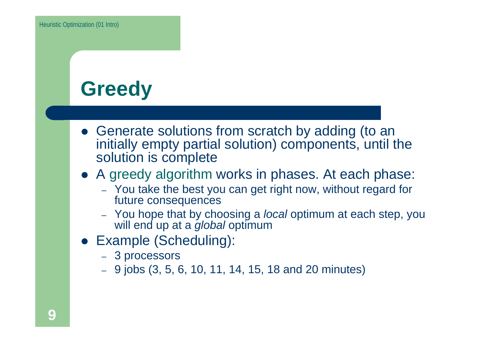## **Greedy**

- Generate solutions from scratch by adding (to an initially empty partial solution) components, until the solution is complete
- A greedy algorithm works in phases. At each phase:
	- You take the best you can get right now, without regard for future consequences
	- You hope that by choosing a *local* optimum at each step, you will end up at a *global* optimum
- **Example (Scheduling):** 
	- 3 processors
	- 9 jobs (3, 5, 6, 10, 11, 14, 15, 18 and 20 minutes)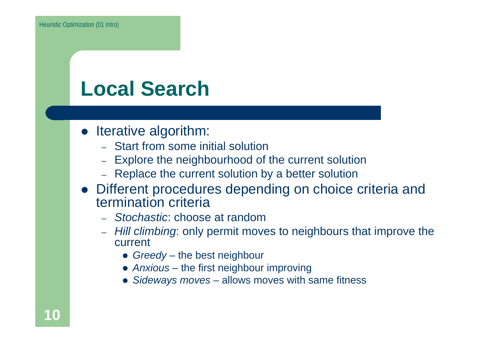#### **Local Search**

- Iterative algorithm:
	- Start from some initial solution
	- Explore the neighbourhood of the current solution
	- Replace the current solution by a better solution
- Different procedures depending on choice criteria and termination criteria
	- *Stochastic*: choose at random
	- *Hill climbing*: only permit moves to neighbours that improve the current
		- **•** Greedy the best neighbour
		- *Anxious* the first neighbour improving
		- Sideways moves allows moves with same fitness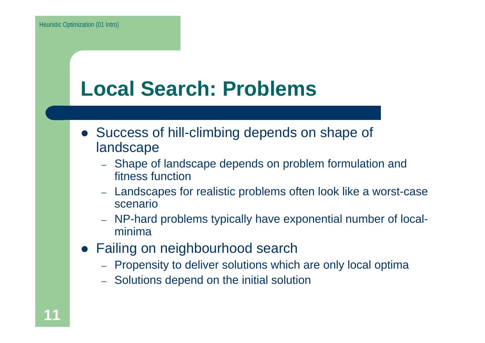#### **Local Search: Problems**

- Success of hill-climbing depends on shape of landscape
	- Shape of landscape depends on problem formulation and fitness function
	- Landscapes for realistic problems often look like a worst-case scenario
	- – NP-hard problems typically have exponential number of localminima
- Failing on neighbourhood search
	- Propensity to deliver solutions which are only local optima
	- Solutions depend on the initial solution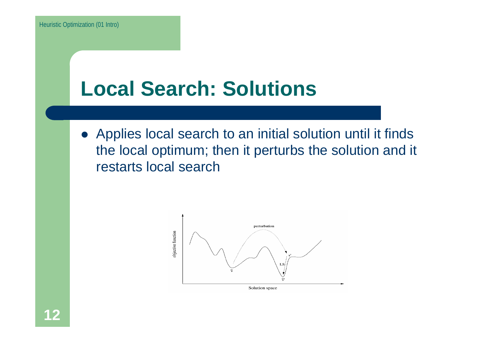#### **Local Search: Solutions**

• Applies local search to an initial solution until it finds the local optimum; then it perturbs the solution and it restarts local search

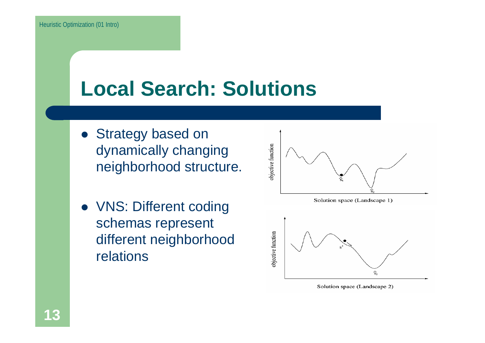#### **Local Search: Solutions**

- Strategy based on dynamically changing neighborhood structure.
- VNS: Different coding schemas represent different neighborhood relations



Solution space (Landscape 2)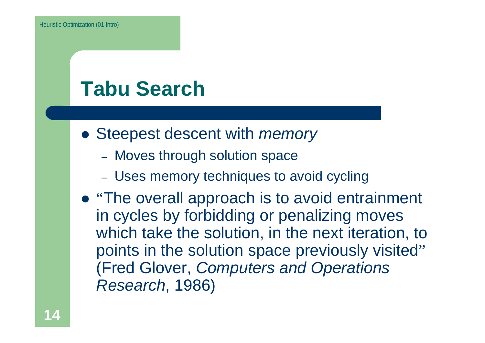### **Tabu Search**

- **Steepest descent with** *memory* 
	- Moves through solution space
	- Uses memory techniques to avoid cycling
- "The overall approach is to avoid entrainment in cycles by forbidding or penalizing moves which take the solution, in the next iteration, to points in the solution space previously visited" (Fred Glover, *Computers and Operations Research*, 1986)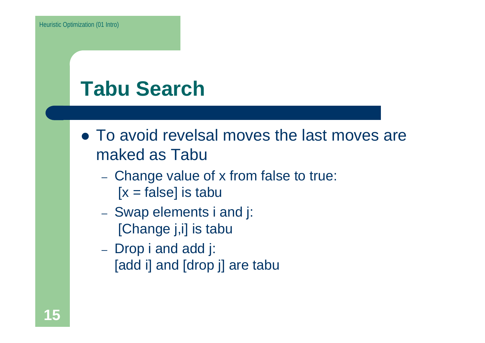## **Tabu Search**

- To avoid revelsal moves the last moves are maked as Tabu
	- Change value of x from false to true:  $[x = false]$  is tabu
	- Swap elements i and j: [Change j,i] is tabu
	- Drop i and add j: [add i] and [drop j] are tabu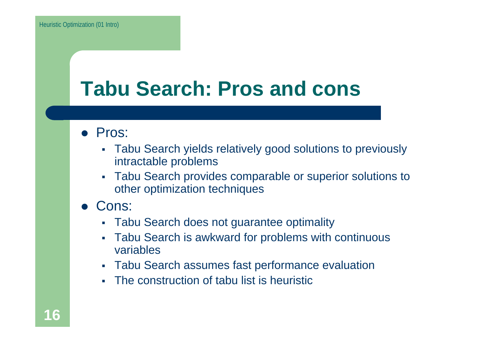#### **Tabu Search: Pros and cons**

- Pros:
	- Tabu Search yields relatively good solutions to previously intractable problems
	- $\mathcal{L}_{\mathcal{A}}$  Tabu Search provides comparable or superior solutions to other optimization techniques
- $\bullet$  Cons:
	- Tabu Search does not guarantee optimality
	- Г Tabu Search is awkward for problems with continuous variables
	- Tabu Search assumes fast performance evaluation
	- Г The construction of tabu list is heuristic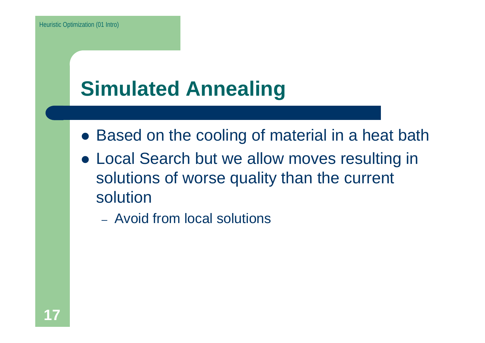## **Simulated Annealing**

- Based on the cooling of material in a heat bath
- Local Search but we allow moves resulting in solutions of worse quality than the current solution
	- Avoid from local solutions